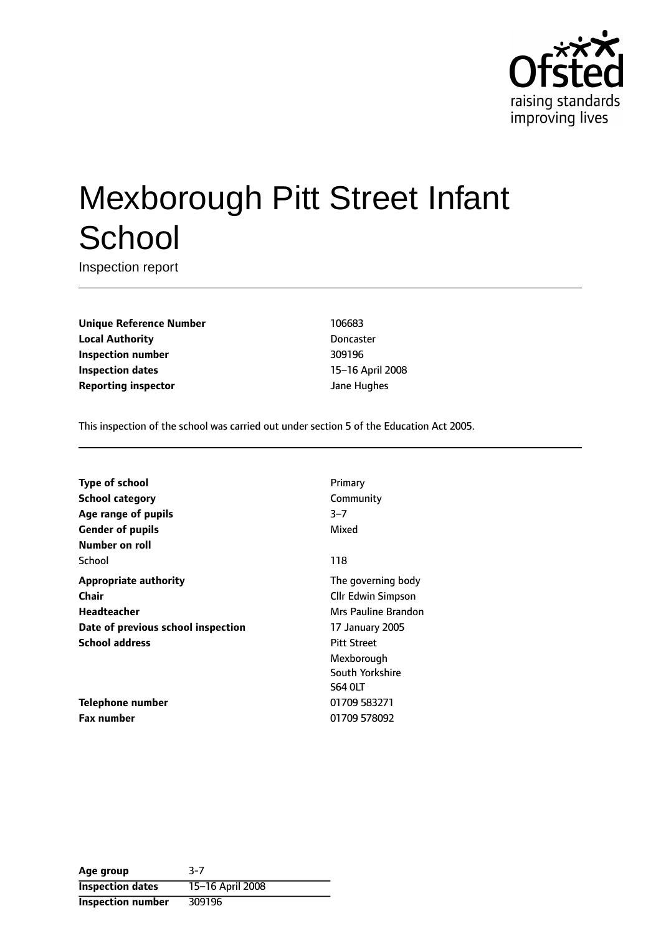

# Mexborough Pitt Street Infant **School**

Inspection report

**Unique Reference Number** 106683 **Local Authority** Doncaster **Inspection number** 309196 **Inspection dates** 15-16 April 2008 **Reporting inspector and a structure of the UP** dane Hughes

This inspection of the school was carried out under section 5 of the Education Act 2005.

| <b>Type of school</b>              | Primary                   |
|------------------------------------|---------------------------|
| <b>School category</b>             | Community                 |
| Age range of pupils                | $3 - 7$                   |
| <b>Gender of pupils</b>            | Mixed                     |
| Number on roll                     |                           |
| School                             | 118                       |
| <b>Appropriate authority</b>       | The governing body        |
| Chair                              | <b>Cllr Edwin Simpson</b> |
| Headteacher                        | Mrs Pauline Brandon       |
| Date of previous school inspection | 17 January 2005           |
| <b>School address</b>              | <b>Pitt Street</b>        |
|                                    | Mexborough                |
|                                    | South Yorkshire           |
|                                    | <b>S64 OLT</b>            |
| Telephone number                   | 01709 583271              |
| <b>Fax number</b>                  | 01709 578092              |
|                                    |                           |

| Age group                | 3-7              |
|--------------------------|------------------|
| <b>Inspection dates</b>  | 15-16 April 2008 |
| <b>Inspection number</b> | 309196           |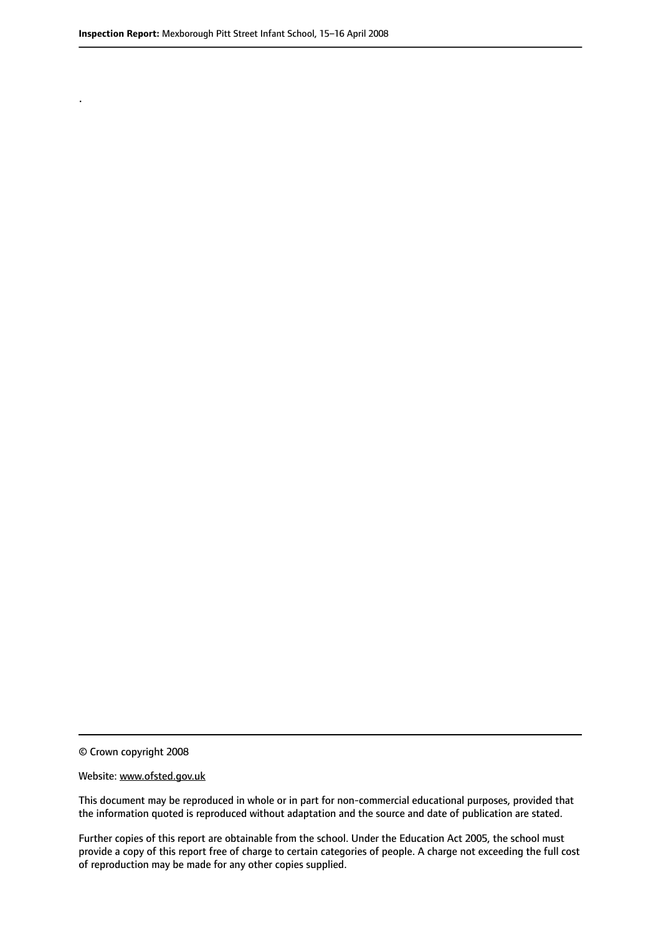.

© Crown copyright 2008

#### Website: www.ofsted.gov.uk

This document may be reproduced in whole or in part for non-commercial educational purposes, provided that the information quoted is reproduced without adaptation and the source and date of publication are stated.

Further copies of this report are obtainable from the school. Under the Education Act 2005, the school must provide a copy of this report free of charge to certain categories of people. A charge not exceeding the full cost of reproduction may be made for any other copies supplied.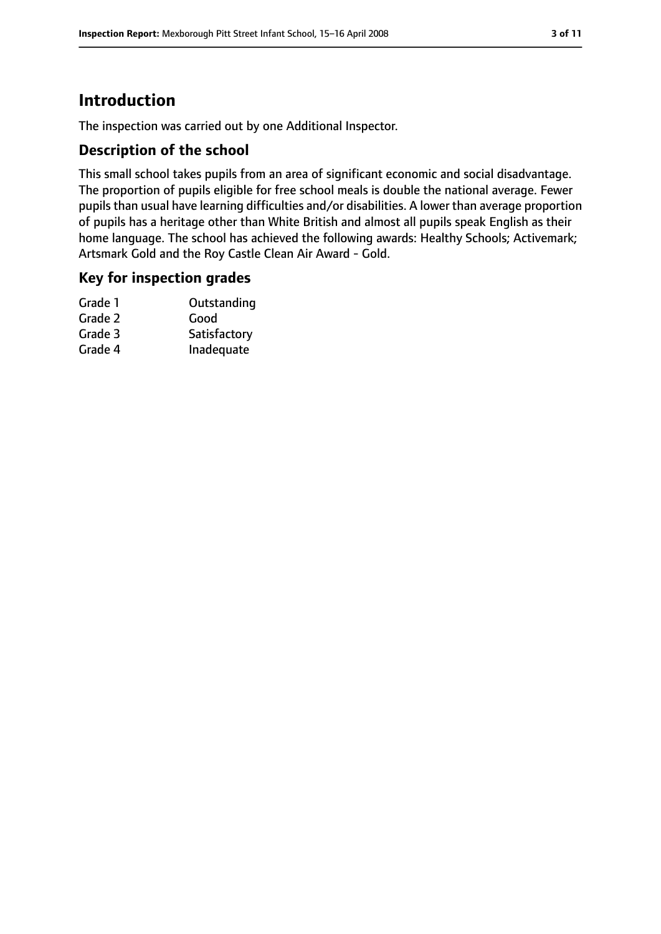# **Introduction**

The inspection was carried out by one Additional Inspector.

#### **Description of the school**

This small school takes pupils from an area of significant economic and social disadvantage. The proportion of pupils eligible for free school meals is double the national average. Fewer pupils than usual have learning difficulties and/or disabilities. A lower than average proportion of pupils has a heritage other than White British and almost all pupils speak English as their home language. The school has achieved the following awards: Healthy Schools; Activemark; Artsmark Gold and the Roy Castle Clean Air Award - Gold.

#### **Key for inspection grades**

| Grade 1 | Outstanding  |
|---------|--------------|
| Grade 2 | Good         |
| Grade 3 | Satisfactory |
| Grade 4 | Inadequate   |
|         |              |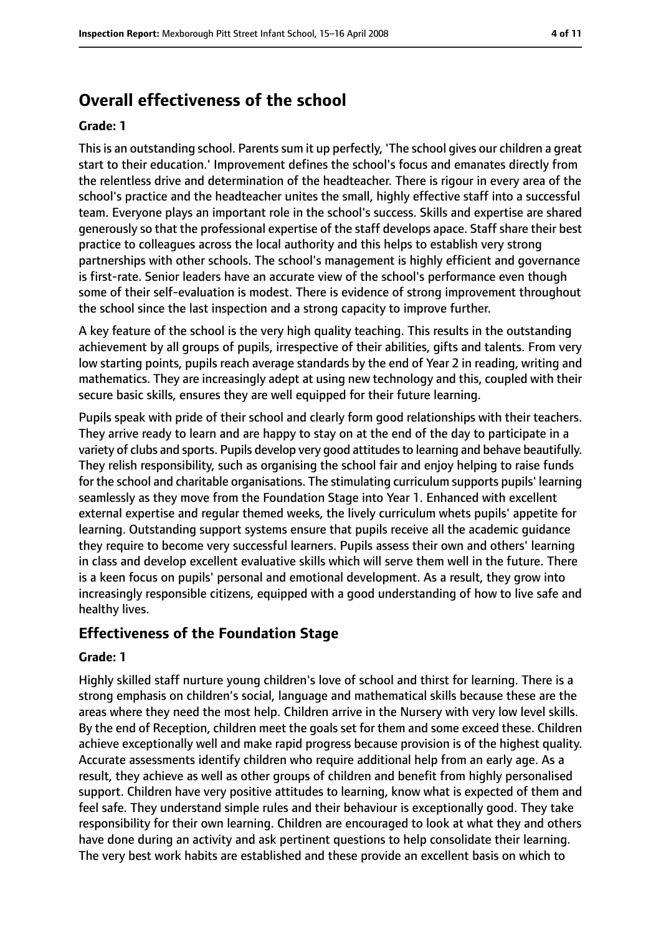# **Overall effectiveness of the school**

#### **Grade: 1**

This is an outstanding school. Parents sum it up perfectly, 'The school gives our children a great start to their education.' Improvement defines the school's focus and emanates directly from the relentless drive and determination of the headteacher. There is rigour in every area of the school's practice and the headteacher unites the small, highly effective staff into a successful team. Everyone plays an important role in the school's success. Skills and expertise are shared generously so that the professional expertise of the staff develops apace. Staff share their best practice to colleagues across the local authority and this helps to establish very strong partnerships with other schools. The school's management is highly efficient and governance is first-rate. Senior leaders have an accurate view of the school's performance even though some of their self-evaluation is modest. There is evidence of strong improvement throughout the school since the last inspection and a strong capacity to improve further.

A key feature of the school is the very high quality teaching. This results in the outstanding achievement by all groups of pupils, irrespective of their abilities, gifts and talents. From very low starting points, pupils reach average standards by the end of Year 2 in reading, writing and mathematics. They are increasingly adept at using new technology and this, coupled with their secure basic skills, ensures they are well equipped for their future learning.

Pupils speak with pride of their school and clearly form good relationships with their teachers. They arrive ready to learn and are happy to stay on at the end of the day to participate in a variety of clubs and sports. Pupils develop very good attitudes to learning and behave beautifully. They relish responsibility, such as organising the school fair and enjoy helping to raise funds for the school and charitable organisations. The stimulating curriculum supports pupils' learning seamlessly as they move from the Foundation Stage into Year 1. Enhanced with excellent external expertise and regular themed weeks, the lively curriculum whets pupils' appetite for learning. Outstanding support systems ensure that pupils receive all the academic guidance they require to become very successful learners. Pupils assess their own and others' learning in class and develop excellent evaluative skills which will serve them well in the future. There is a keen focus on pupils' personal and emotional development. As a result, they grow into increasingly responsible citizens, equipped with a good understanding of how to live safe and healthy lives.

#### **Effectiveness of the Foundation Stage**

#### **Grade: 1**

Highly skilled staff nurture young children's love of school and thirst for learning. There is a strong emphasis on children's social, language and mathematical skills because these are the areas where they need the most help. Children arrive in the Nursery with very low level skills. By the end of Reception, children meet the goals set for them and some exceed these. Children achieve exceptionally well and make rapid progress because provision is of the highest quality. Accurate assessments identify children who require additional help from an early age. As a result, they achieve as well as other groups of children and benefit from highly personalised support. Children have very positive attitudes to learning, know what is expected of them and feel safe. They understand simple rules and their behaviour is exceptionally good. They take responsibility for their own learning. Children are encouraged to look at what they and others have done during an activity and ask pertinent questions to help consolidate their learning. The very best work habits are established and these provide an excellent basis on which to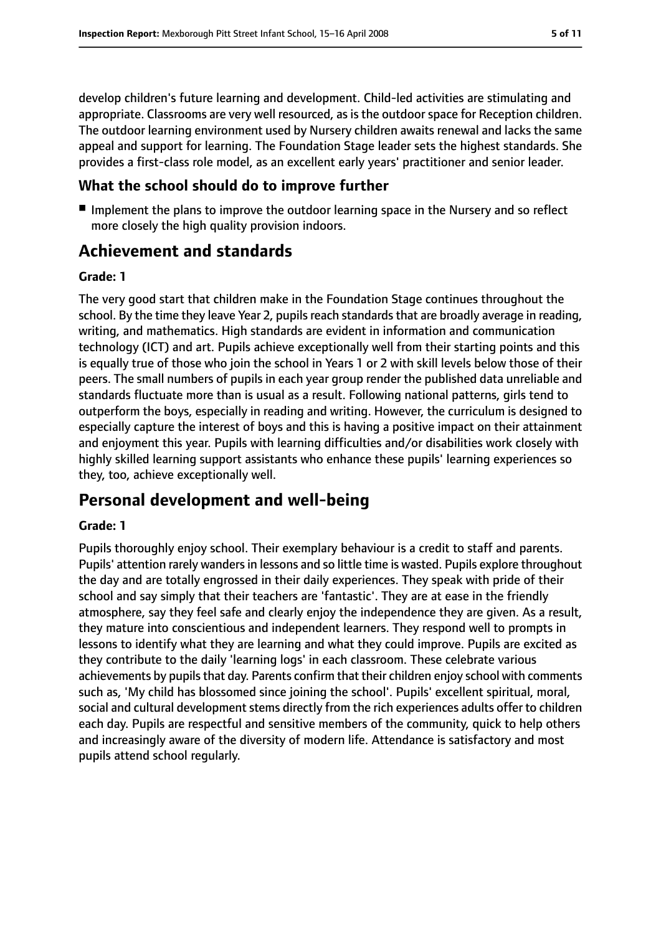develop children's future learning and development. Child-led activities are stimulating and appropriate. Classrooms are very well resourced, as is the outdoor space for Reception children. The outdoor learning environment used by Nursery children awaits renewal and lacks the same appeal and support for learning. The Foundation Stage leader sets the highest standards. She provides a first-class role model, as an excellent early years' practitioner and senior leader.

#### **What the school should do to improve further**

■ Implement the plans to improve the outdoor learning space in the Nursery and so reflect more closely the high quality provision indoors.

# **Achievement and standards**

#### **Grade: 1**

The very good start that children make in the Foundation Stage continues throughout the school. By the time they leave Year 2, pupils reach standards that are broadly average in reading, writing, and mathematics. High standards are evident in information and communication technology (ICT) and art. Pupils achieve exceptionally well from their starting points and this is equally true of those who join the school in Years 1 or 2 with skill levels below those of their peers. The small numbers of pupils in each year group render the published data unreliable and standards fluctuate more than is usual as a result. Following national patterns, girls tend to outperform the boys, especially in reading and writing. However, the curriculum is designed to especially capture the interest of boys and this is having a positive impact on their attainment and enjoyment this year. Pupils with learning difficulties and/or disabilities work closely with highly skilled learning support assistants who enhance these pupils' learning experiences so they, too, achieve exceptionally well.

## **Personal development and well-being**

#### **Grade: 1**

Pupils thoroughly enjoy school. Their exemplary behaviour is a credit to staff and parents. Pupils' attention rarely wanders in lessons and so little time is wasted. Pupils explore throughout the day and are totally engrossed in their daily experiences. They speak with pride of their school and say simply that their teachers are 'fantastic'. They are at ease in the friendly atmosphere, say they feel safe and clearly enjoy the independence they are given. As a result, they mature into conscientious and independent learners. They respond well to prompts in lessons to identify what they are learning and what they could improve. Pupils are excited as they contribute to the daily 'learning logs' in each classroom. These celebrate various achievements by pupils that day. Parents confirm that their children enjoy school with comments such as, 'My child has blossomed since joining the school'. Pupils' excellent spiritual, moral, social and cultural development stems directly from the rich experiences adults offer to children each day. Pupils are respectful and sensitive members of the community, quick to help others and increasingly aware of the diversity of modern life. Attendance is satisfactory and most pupils attend school regularly.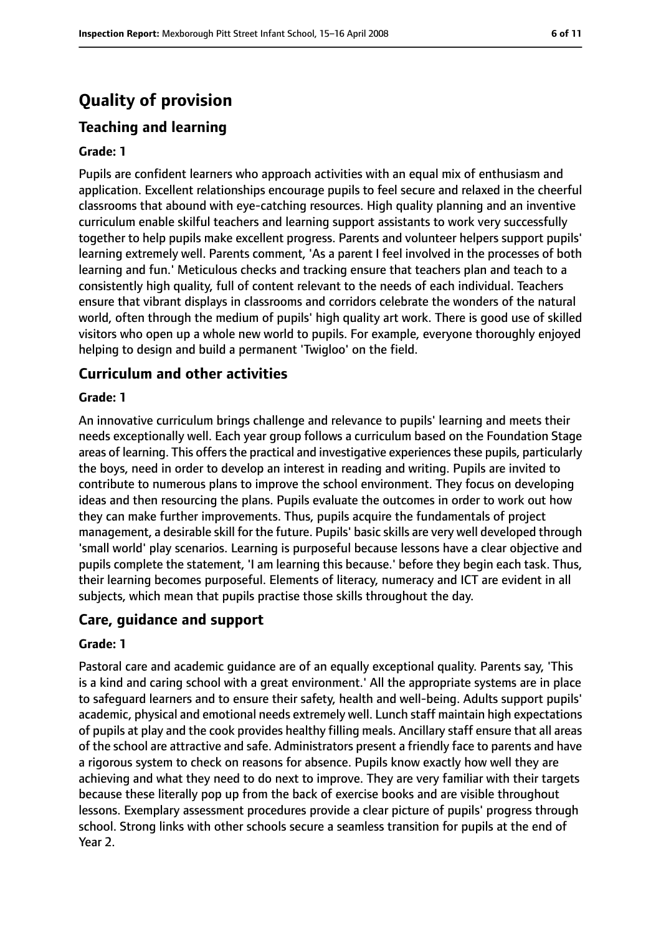# **Quality of provision**

#### **Teaching and learning**

#### **Grade: 1**

Pupils are confident learners who approach activities with an equal mix of enthusiasm and application. Excellent relationships encourage pupils to feel secure and relaxed in the cheerful classrooms that abound with eye-catching resources. High quality planning and an inventive curriculum enable skilful teachers and learning support assistants to work very successfully together to help pupils make excellent progress. Parents and volunteer helpers support pupils' learning extremely well. Parents comment, 'As a parent I feel involved in the processes of both learning and fun.' Meticulous checks and tracking ensure that teachers plan and teach to a consistently high quality, full of content relevant to the needs of each individual. Teachers ensure that vibrant displays in classrooms and corridors celebrate the wonders of the natural world, often through the medium of pupils' high quality art work. There is good use of skilled visitors who open up a whole new world to pupils. For example, everyone thoroughly enjoyed helping to design and build a permanent 'Twigloo' on the field.

#### **Curriculum and other activities**

#### **Grade: 1**

An innovative curriculum brings challenge and relevance to pupils' learning and meets their needs exceptionally well. Each year group follows a curriculum based on the Foundation Stage areas of learning. This offers the practical and investigative experiences these pupils, particularly the boys, need in order to develop an interest in reading and writing. Pupils are invited to contribute to numerous plans to improve the school environment. They focus on developing ideas and then resourcing the plans. Pupils evaluate the outcomes in order to work out how they can make further improvements. Thus, pupils acquire the fundamentals of project management, a desirable skill for the future. Pupils' basic skills are very well developed through 'small world' play scenarios. Learning is purposeful because lessons have a clear objective and pupils complete the statement, 'I am learning this because.' before they begin each task. Thus, their learning becomes purposeful. Elements of literacy, numeracy and ICT are evident in all subjects, which mean that pupils practise those skills throughout the day.

#### **Care, guidance and support**

#### **Grade: 1**

Pastoral care and academic guidance are of an equally exceptional quality. Parents say, 'This is a kind and caring school with a great environment.' All the appropriate systems are in place to safeguard learners and to ensure their safety, health and well-being. Adults support pupils' academic, physical and emotional needs extremely well. Lunch staff maintain high expectations of pupils at play and the cook provides healthy filling meals. Ancillary staff ensure that all areas of the school are attractive and safe. Administrators present a friendly face to parents and have a rigorous system to check on reasons for absence. Pupils know exactly how well they are achieving and what they need to do next to improve. They are very familiar with their targets because these literally pop up from the back of exercise books and are visible throughout lessons. Exemplary assessment procedures provide a clear picture of pupils' progress through school. Strong links with other schools secure a seamless transition for pupils at the end of Year 2.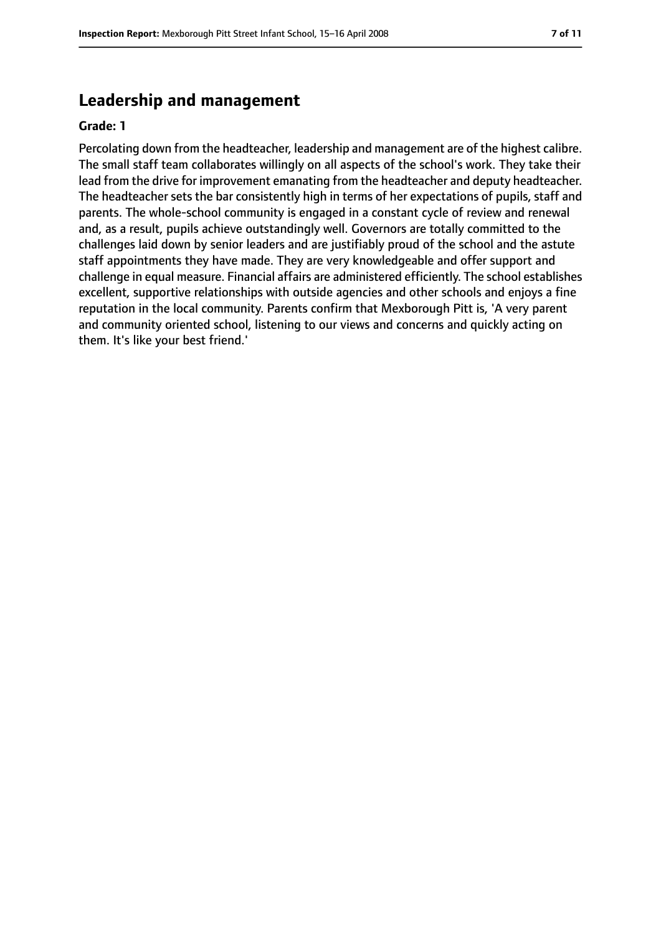#### **Leadership and management**

#### **Grade: 1**

Percolating down from the headteacher, leadership and management are of the highest calibre. The small staff team collaborates willingly on all aspects of the school's work. They take their lead from the drive for improvement emanating from the headteacher and deputy headteacher. The headteacher sets the bar consistently high in terms of her expectations of pupils, staff and parents. The whole-school community is engaged in a constant cycle of review and renewal and, as a result, pupils achieve outstandingly well. Governors are totally committed to the challenges laid down by senior leaders and are justifiably proud of the school and the astute staff appointments they have made. They are very knowledgeable and offer support and challenge in equal measure. Financial affairs are administered efficiently. The school establishes excellent, supportive relationships with outside agencies and other schools and enjoys a fine reputation in the local community. Parents confirm that Mexborough Pitt is, 'A very parent and community oriented school, listening to our views and concerns and quickly acting on them. It's like your best friend.'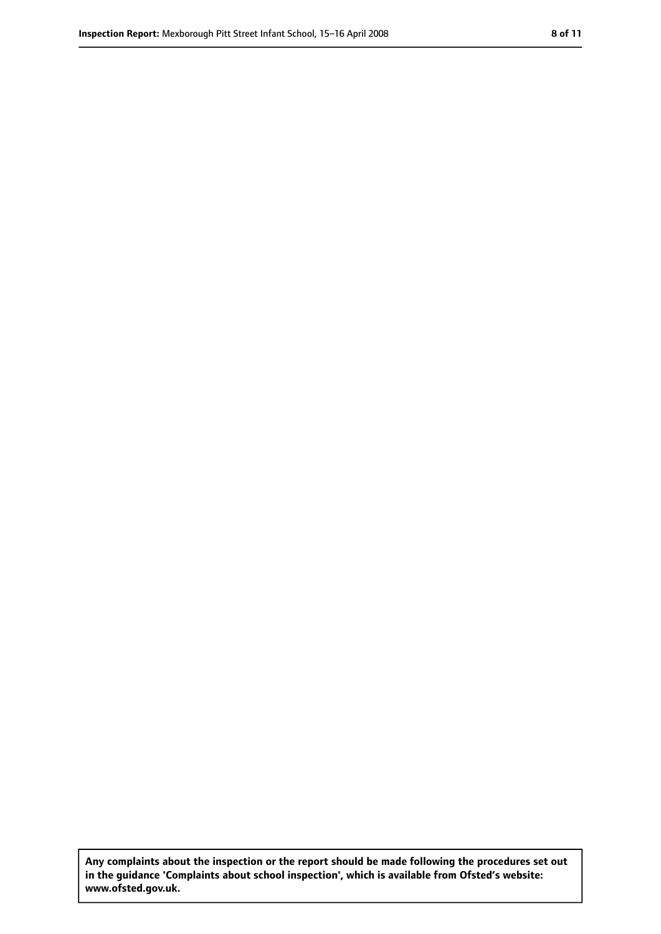**Any complaints about the inspection or the report should be made following the procedures set out in the guidance 'Complaints about school inspection', which is available from Ofsted's website: www.ofsted.gov.uk.**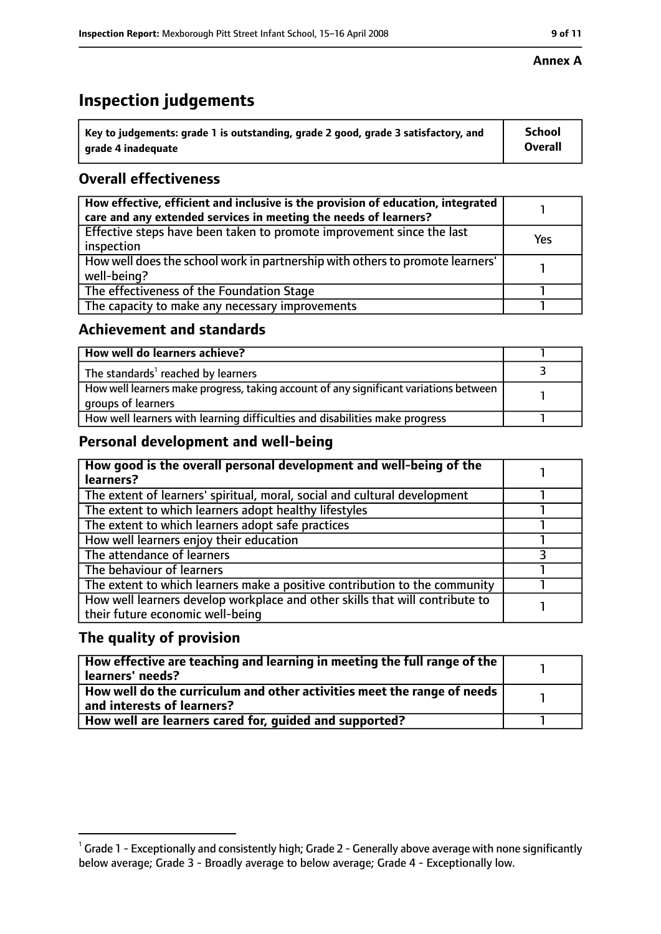# **Inspection judgements**

| $\dot{ }$ Key to judgements: grade 1 is outstanding, grade 2 good, grade 3 satisfactory, and | School         |
|----------------------------------------------------------------------------------------------|----------------|
| arade 4 inadequate                                                                           | <b>Overall</b> |

### **Overall effectiveness**

| How effective, efficient and inclusive is the provision of education, integrated<br>care and any extended services in meeting the needs of learners? |     |
|------------------------------------------------------------------------------------------------------------------------------------------------------|-----|
| Effective steps have been taken to promote improvement since the last<br>inspection                                                                  | Yes |
| How well does the school work in partnership with others to promote learners'<br>well-being?                                                         |     |
| The effectiveness of the Foundation Stage                                                                                                            |     |
| The capacity to make any necessary improvements                                                                                                      |     |

#### **Achievement and standards**

| How well do learners achieve?                                                                               |  |
|-------------------------------------------------------------------------------------------------------------|--|
| The standards <sup>1</sup> reached by learners                                                              |  |
| How well learners make progress, taking account of any significant variations between<br>groups of learners |  |
| How well learners with learning difficulties and disabilities make progress                                 |  |

#### **Personal development and well-being**

| How good is the overall personal development and well-being of the<br>learners?                                  |  |
|------------------------------------------------------------------------------------------------------------------|--|
| The extent of learners' spiritual, moral, social and cultural development                                        |  |
| The extent to which learners adopt healthy lifestyles                                                            |  |
| The extent to which learners adopt safe practices                                                                |  |
| How well learners enjoy their education                                                                          |  |
| The attendance of learners                                                                                       |  |
| The behaviour of learners                                                                                        |  |
| The extent to which learners make a positive contribution to the community                                       |  |
| How well learners develop workplace and other skills that will contribute to<br>their future economic well-being |  |

#### **The quality of provision**

| How effective are teaching and learning in meeting the full range of the<br>learners' needs?          |  |
|-------------------------------------------------------------------------------------------------------|--|
| How well do the curriculum and other activities meet the range of needs<br>and interests of learners? |  |
| How well are learners cared for, quided and supported?                                                |  |

#### **Annex A**

 $^1$  Grade 1 - Exceptionally and consistently high; Grade 2 - Generally above average with none significantly below average; Grade 3 - Broadly average to below average; Grade 4 - Exceptionally low.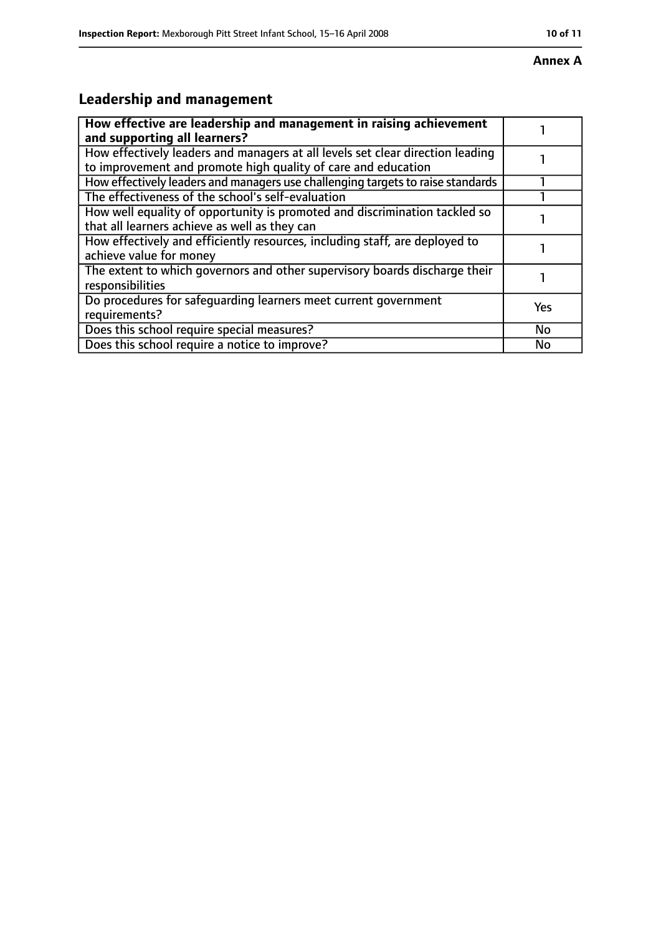#### **Annex A**

# **Leadership and management**

| How effective are leadership and management in raising achievement<br>and supporting all learners?                                              |           |
|-------------------------------------------------------------------------------------------------------------------------------------------------|-----------|
| How effectively leaders and managers at all levels set clear direction leading<br>to improvement and promote high quality of care and education |           |
| How effectively leaders and managers use challenging targets to raise standards                                                                 |           |
| The effectiveness of the school's self-evaluation                                                                                               |           |
| How well equality of opportunity is promoted and discrimination tackled so<br>that all learners achieve as well as they can                     |           |
| How effectively and efficiently resources, including staff, are deployed to<br>achieve value for money                                          |           |
| The extent to which governors and other supervisory boards discharge their<br>responsibilities                                                  |           |
| Do procedures for safequarding learners meet current government<br>requirements?                                                                | Yes       |
| Does this school require special measures?                                                                                                      | <b>No</b> |
| Does this school require a notice to improve?                                                                                                   | No        |